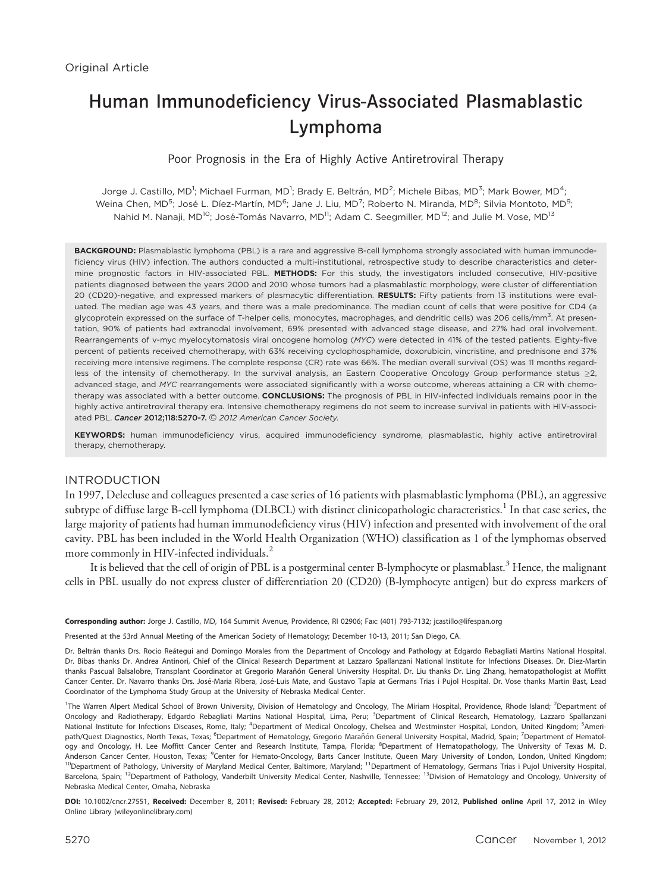# Human Immunodeficiency Virus-Associated Plasmablastic Lymphoma

# Poor Prognosis in the Era of Highly Active Antiretroviral Therapy

Jorge J. Castillo, MD<sup>1</sup>; Michael Furman, MD<sup>1</sup>; Brady E. Beltrán, MD<sup>2</sup>; Michele Bibas, MD<sup>3</sup>; Mark Bower, MD<sup>4</sup>; Weina Chen, MD<sup>5</sup>; José L. Díez-Martín, MD<sup>6</sup>; Jane J. Liu, MD<sup>7</sup>; Roberto N. Miranda, MD<sup>8</sup>; Silvia Montoto, MD<sup>9</sup>; Nahid M. Nanaji, MD<sup>10</sup>; José-Tomás Navarro, MD<sup>11</sup>; Adam C. Seegmiller, MD<sup>12</sup>; and Julie M. Vose, MD<sup>13</sup>

BACKGROUND: Plasmablastic lymphoma (PBL) is a rare and aggressive B-cell lymphoma strongly associated with human immunodeficiency virus (HIV) infection. The authors conducted a multi-institutional, retrospective study to describe characteristics and determine prognostic factors in HIV-associated PBL. METHODS: For this study, the investigators included consecutive, HIV-positive patients diagnosed between the years 2000 and 2010 whose tumors had a plasmablastic morphology, were cluster of differentiation 20 (CD20)-negative, and expressed markers of plasmacytic differentiation. RESULTS: Fifty patients from 13 institutions were evaluated. The median age was 43 years, and there was a male predominance. The median count of cells that were positive for CD4 (a glycoprotein expressed on the surface of T-helper cells, monocytes, macrophages, and dendritic cells) was 206 cells/mm $^{\rm 3}$ . At presentation, 90% of patients had extranodal involvement, 69% presented with advanced stage disease, and 27% had oral involvement. Rearrangements of v-myc myelocytomatosis viral oncogene homolog (MYC) were detected in 41% of the tested patients. Eighty-five percent of patients received chemotherapy, with 63% receiving cyclophosphamide, doxorubicin, vincristine, and prednisone and 37% receiving more intensive regimens. The complete response (CR) rate was 66%. The median overall survival (OS) was 11 months regardless of the intensity of chemotherapy. In the survival analysis, an Eastern Cooperative Oncology Group performance status  $\geq$ 2, advanced stage, and MYC rearrangements were associated significantly with a worse outcome, whereas attaining a CR with chemotherapy was associated with a better outcome. CONCLUSIONS: The prognosis of PBL in HIV-infected individuals remains poor in the highly active antiretroviral therapy era. Intensive chemotherapy regimens do not seem to increase survival in patients with HIV-associated PBL. Cancer 2012;118:5270-7. © 2012 American Cancer Society.

KEYWORDS: human immunodeficiency virus, acquired immunodeficiency syndrome, plasmablastic, highly active antiretroviral therapy, chemotherapy.

# INTRODUCTION

In 1997, Delecluse and colleagues presented a case series of 16 patients with plasmablastic lymphoma (PBL), an aggressive subtype of diffuse large B-cell lymphoma (DLBCL) with distinct clinicopathologic characteristics.<sup>1</sup> In that case series, the large majority of patients had human immunodeficiency virus (HIV) infection and presented with involvement of the oral cavity. PBL has been included in the World Health Organization (WHO) classification as 1 of the lymphomas observed more commonly in HIV-infected individuals.<sup>2</sup>

It is believed that the cell of origin of PBL is a postgerminal center B-lymphocyte or plasmablast.<sup>3</sup> Hence, the malignant cells in PBL usually do not express cluster of differentiation 20 (CD20) (B-lymphocyte antigen) but do express markers of

Corresponding author: Jorge J. Castillo, MD, 164 Summit Avenue, Providence, RI 02906; Fax: (401) 793-7132; jcastillo@lifespan.org

Presented at the 53rd Annual Meeting of the American Society of Hematology; December 10-13, 2011; San Diego, CA.

Dr. Beltrán thanks Drs. Rocio Reátegui and Domingo Morales from the Department of Oncology and Pathology at Edgardo Rebagliati Martins National Hospital. Dr. Bibas thanks Dr. Andrea Antinori, Chief of the Clinical Research Department at Lazzaro Spallanzani National Institute for Infections Diseases. Dr. Diez-Martin thanks Pascual Balsalobre, Transplant Coordinator at Gregorio Marañón General University Hospital. Dr. Liu thanks Dr. Ling Zhang, hematopathologist at Moffitt Cancer Center. Dr. Navarro thanks Drs. José-Maria Ribera, José-Luis Mate, and Gustavo Tapia at Germans Trias i Pujol Hospital. Dr. Vose thanks Martin Bast, Lead Coordinator of the Lymphoma Study Group at the University of Nebraska Medical Center.

<sup>1</sup>The Warren Alpert Medical School of Brown University, Division of Hematology and Oncology, The Miriam Hospital, Providence, Rhode Island; <sup>2</sup>Department of Oncology and Radiotherapy, Edgardo Rebagliati Martins National Hospital, Lima, Peru; <sup>3</sup>Department of Clinical Research, Hematology, Lazzaro Spallanzani National Institute for Infections Diseases, Rome, Italy; <sup>4</sup>Department of Medical Oncology, Chelsea and Westminster Hospital, London, United Kingdom; <sup>5</sup>Ameripath/Quest Diagnostics, North Texas, Texas; <sup>6</sup>Department of Hematology, Gregorio Marañón General University Hospital, Madrid, Spain; <sup>7</sup>Department of Hematology and Oncology, H. Lee Moffitt Cancer Center and Research Institute, Tampa, Florida; <sup>8</sup>Department of Hematopathology, The University of Texas M. D. Anderson Cancer Center, Houston, Texas; <sup>9</sup>Center for Hemato-Oncology, Barts Cancer Institute, Queen Mary University of London, London, United Kingdom; <sup>10</sup>Department of Pathology, University of Maryland Medical Center, Baltimore, Maryland; <sup>11</sup>Department of Hematology, Germans Trias i Pujol University Hospital, Barcelona, Spain; <sup>12</sup>Department of Pathology, Vanderbilt University Medical Center, Nashville, Tennessee; <sup>13</sup>Division of Hematology and Oncology, University of Nebraska Medical Center, Omaha, Nebraska

DOI: 10.1002/cncr.27551, Received: December 8, 2011; Revised: February 28, 2012; Accepted: February 29, 2012, Published online April 17, 2012 in Wiley Online Library (wileyonlinelibrary.com)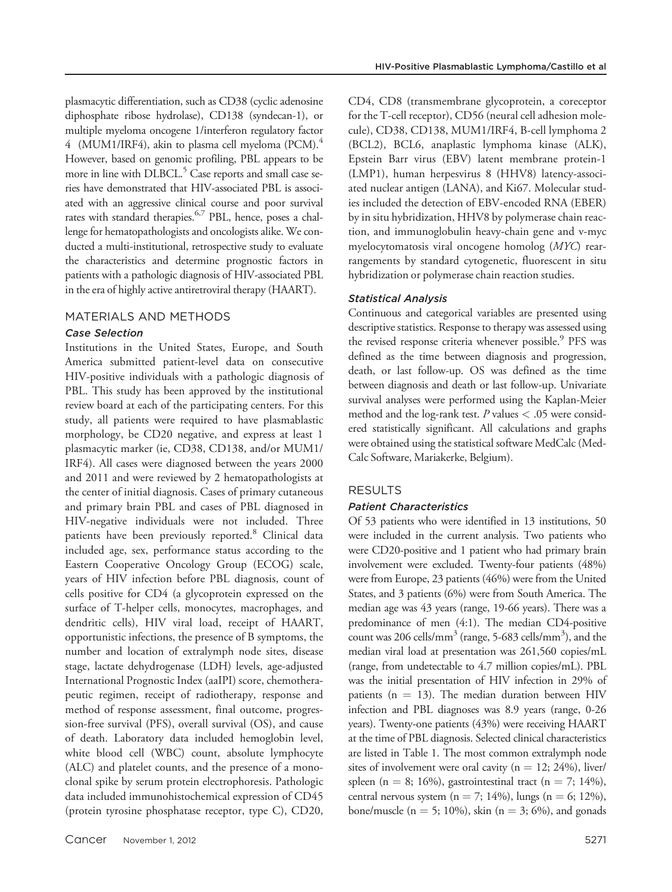plasmacytic differentiation, such as CD38 (cyclic adenosine diphosphate ribose hydrolase), CD138 (syndecan-1), or multiple myeloma oncogene 1/interferon regulatory factor 4 (MUM1/IRF4), akin to plasma cell myeloma (PCM). $^{4}$ However, based on genomic profiling, PBL appears to be more in line with DLBCL.<sup>5</sup> Case reports and small case series have demonstrated that HIV-associated PBL is associated with an aggressive clinical course and poor survival rates with standard therapies.<sup>6,7</sup> PBL, hence, poses a challenge for hematopathologists and oncologists alike. We conducted a multi-institutional, retrospective study to evaluate the characteristics and determine prognostic factors in patients with a pathologic diagnosis of HIV-associated PBL in the era of highly active antiretroviral therapy (HAART).

## MATERIALS AND METHODS

## Case Selection

Institutions in the United States, Europe, and South America submitted patient-level data on consecutive HIV-positive individuals with a pathologic diagnosis of PBL. This study has been approved by the institutional review board at each of the participating centers. For this study, all patients were required to have plasmablastic morphology, be CD20 negative, and express at least 1 plasmacytic marker (ie, CD38, CD138, and/or MUM1/ IRF4). All cases were diagnosed between the years 2000 and 2011 and were reviewed by 2 hematopathologists at the center of initial diagnosis. Cases of primary cutaneous and primary brain PBL and cases of PBL diagnosed in HIV-negative individuals were not included. Three patients have been previously reported.<sup>8</sup> Clinical data included age, sex, performance status according to the Eastern Cooperative Oncology Group (ECOG) scale, years of HIV infection before PBL diagnosis, count of cells positive for CD4 (a glycoprotein expressed on the surface of T-helper cells, monocytes, macrophages, and dendritic cells), HIV viral load, receipt of HAART, opportunistic infections, the presence of B symptoms, the number and location of extralymph node sites, disease stage, lactate dehydrogenase (LDH) levels, age-adjusted International Prognostic Index (aaIPI) score, chemotherapeutic regimen, receipt of radiotherapy, response and method of response assessment, final outcome, progression-free survival (PFS), overall survival (OS), and cause of death. Laboratory data included hemoglobin level, white blood cell (WBC) count, absolute lymphocyte (ALC) and platelet counts, and the presence of a monoclonal spike by serum protein electrophoresis. Pathologic data included immunohistochemical expression of CD45 (protein tyrosine phosphatase receptor, type C), CD20, CD4, CD8 (transmembrane glycoprotein, a coreceptor for the T-cell receptor), CD56 (neural cell adhesion molecule), CD38, CD138, MUM1/IRF4, B-cell lymphoma 2 (BCL2), BCL6, anaplastic lymphoma kinase (ALK), Epstein Barr virus (EBV) latent membrane protein-1 (LMP1), human herpesvirus 8 (HHV8) latency-associated nuclear antigen (LANA), and Ki67. Molecular studies included the detection of EBV-encoded RNA (EBER) by in situ hybridization, HHV8 by polymerase chain reaction, and immunoglobulin heavy-chain gene and v-myc myelocytomatosis viral oncogene homolog (MYC) rearrangements by standard cytogenetic, fluorescent in situ hybridization or polymerase chain reaction studies.

## Statistical Analysis

Continuous and categorical variables are presented using descriptive statistics. Response to therapy was assessed using the revised response criteria whenever possible.<sup>9</sup> PFS was defined as the time between diagnosis and progression, death, or last follow-up. OS was defined as the time between diagnosis and death or last follow-up. Univariate survival analyses were performed using the Kaplan-Meier method and the log-rank test.  $P$  values  $< .05$  were considered statistically significant. All calculations and graphs were obtained using the statistical software MedCalc (Med-Calc Software, Mariakerke, Belgium).

## RESULTS

#### Patient Characteristics

Of 53 patients who were identified in 13 institutions, 50 were included in the current analysis. Two patients who were CD20-positive and 1 patient who had primary brain involvement were excluded. Twenty-four patients (48%) were from Europe, 23 patients (46%) were from the United States, and 3 patients (6%) were from South America. The median age was 43 years (range, 19-66 years). There was a predominance of men (4:1). The median CD4-positive count was 206 cells/mm $^3$  (range, 5-683 cells/mm $^3$ ), and the median viral load at presentation was 261,560 copies/mL (range, from undetectable to 4.7 million copies/mL). PBL was the initial presentation of HIV infection in 29% of patients ( $n = 13$ ). The median duration between HIV infection and PBL diagnoses was 8.9 years (range, 0-26 years). Twenty-one patients (43%) were receiving HAART at the time of PBL diagnosis. Selected clinical characteristics are listed in Table 1. The most common extralymph node sites of involvement were oral cavity ( $n = 12$ ; 24%), liver/ spleen (n = 8; 16%), gastrointestinal tract (n = 7; 14%), central nervous system (n = 7; 14%), lungs (n = 6; 12%), bone/muscle ( $n = 5$ ; 10%), skin ( $n = 3$ ; 6%), and gonads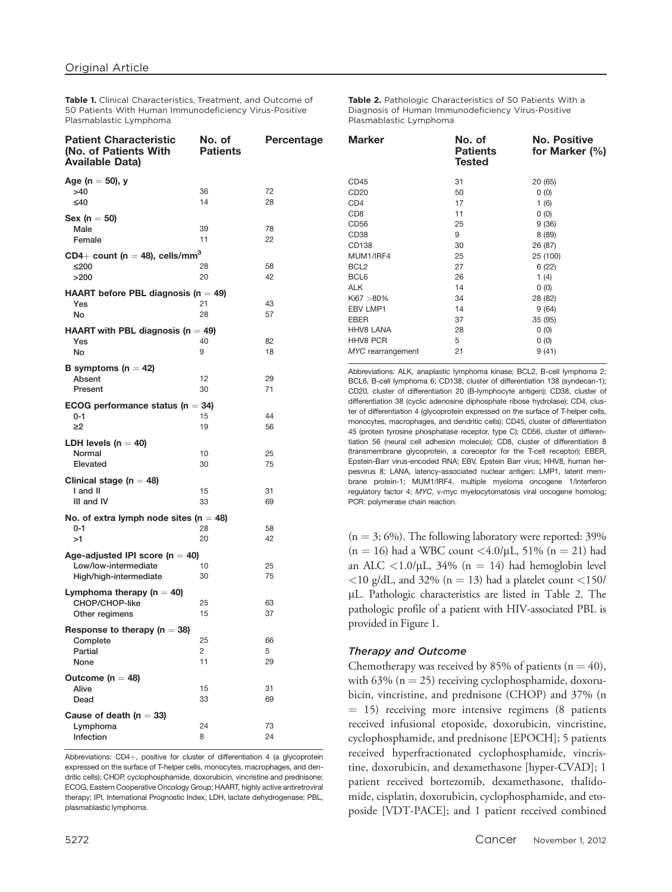Table 1. Clinical Characteristics, Treatment, and Outcome of 50 Patients With Human Immunodeficiency Virus-Positive Plasmablastic Lymphoma

| <b>Patient Characteristic</b><br>(No. of Patients With<br><b>Available Data)</b> | No. of<br><b>Patients</b> | Percentage |
|----------------------------------------------------------------------------------|---------------------------|------------|
| Age (n $=$ 50), y                                                                |                           |            |
| >40                                                                              | 36                        | 72         |
| ≤40                                                                              | 14                        | 28         |
| Sex (n $=$ 50)                                                                   |                           |            |
| Male                                                                             | 39                        | 78         |
| Female                                                                           | 11                        | 22         |
| CD4+ count ( $n = 48$ ), cells/mm <sup>3</sup>                                   |                           |            |
| ≤200                                                                             | 28                        | 58         |
| >200                                                                             | 20                        | 42         |
| HAART before PBL diagnosis ( $n = 49$ )                                          |                           |            |
| Yes                                                                              | 21                        | 43         |
| No                                                                               | 28                        | 57         |
| <b>HAART</b> with PBL diagnosis ( $n = 49$ )                                     |                           |            |
| Yes                                                                              | 40<br>9                   | 82         |
| No                                                                               |                           | 18         |
| B symptoms ( $n = 42$ )                                                          |                           |            |
| Absent<br>Present                                                                | 12                        | 29<br>71   |
|                                                                                  | 30                        |            |
| ECOG performance status ( $n = 34$ )                                             |                           |            |
| $0 - 1$<br>≥2                                                                    | 15<br>19                  | 44<br>56   |
|                                                                                  |                           |            |
| LDH levels ( $n = 40$ )                                                          |                           |            |
| Normal<br>Elevated                                                               | 10<br>30                  | 25<br>75   |
|                                                                                  |                           |            |
| Clinical stage ( $n = 48$ )                                                      |                           | 31         |
| I and II<br>III and IV                                                           | 15<br>33                  | 69         |
|                                                                                  |                           |            |
| No. of extra lymph node sites (n $=$ 48)<br>$0 - 1$                              | 28                        | 58         |
| >1                                                                               | 20                        | 42         |
|                                                                                  |                           |            |
| Age-adjusted IPI score ( $n = 40$ )<br>Low/low-intermediate                      | 10                        | 25         |
| High/high-intermediate                                                           | 30                        | 75         |
|                                                                                  |                           |            |
| Lymphoma therapy ( $n = 40$ )<br>CHOP/CHOP-like                                  | 25                        | 63         |
| Other regimens                                                                   | 15                        | 37         |
|                                                                                  |                           |            |
| Response to therapy ( $n = 38$ )<br>Complete                                     | 25                        | 66         |
| Partial                                                                          | 2                         | 5          |
| None                                                                             | 11                        | 29         |
| Outcome ( $n = 48$ )                                                             |                           |            |
| Alive                                                                            | 15                        | 31         |
| Dead                                                                             | 33                        | 69         |
| Cause of death ( $n = 33$ )                                                      |                           |            |
| Lymphoma                                                                         | 24                        | 73         |
| Infection                                                                        | 8                         | 24         |
|                                                                                  |                           |            |

Abbreviations: CD4+, positive for cluster of differentiation 4 (a glycoprotein expressed on the surface of T-helper cells, monocytes, macrophages, and dendritic cells); CHOP, cyclophosphamide, doxorubicin, vincristine and prednisone; ECOG, Eastern Cooperative Oncology Group; HAART, highly active antiretroviral therapy; IPI, International Prognostic Index; LDH, lactate dehydrogenase; PBL, plasmablastic lymphoma.

Table 2. Pathologic Characteristics of 50 Patients With a Diagnosis of Human Immunodeficiency Virus-Positive Plasmablastic Lymphoma

| <b>Marker</b>     | No. of<br><b>Patients</b><br><b>Tested</b> | No. Positive<br>for Marker $(\% )$ |
|-------------------|--------------------------------------------|------------------------------------|
| CD45              | 31                                         | 20 (65)                            |
| CD <sub>20</sub>  | 50                                         | 0(0)                               |
| CD <sub>4</sub>   | 17                                         | 1(6)                               |
| CD <sub>8</sub>   | 11                                         | 0(0)                               |
| CD56              | 25                                         | 9(36)                              |
| CD <sub>38</sub>  | 9                                          | 8(89)                              |
| CD138             | 30                                         | 26 (87)                            |
| MUM1/IRF4         | 25                                         | 25 (100)                           |
| BCL <sub>2</sub>  | 27                                         | 6(22)                              |
| BCL6              | 26                                         | 1 $(4)$                            |
| <b>ALK</b>        | 14                                         | 0(0)                               |
| $Ki67 > 80\%$     | 34                                         | 28 (82)                            |
| <b>EBV LMP1</b>   | 14                                         | 9(64)                              |
| <b>EBER</b>       | 37                                         | 35 (95)                            |
| <b>HHV8 LANA</b>  | 28                                         | 0(0)                               |
| <b>HHV8 PCR</b>   | 5                                          | 0(0)                               |
| MYC rearrangement | 21                                         | 9(41)                              |
|                   |                                            |                                    |

Abbreviations: ALK, anaplastic lymphoma kinase; BCL2, B-cell lymphoma 2; BCL6, B-cell lymphoma 6; CD138, cluster of differentiation 138 (syndecan-1); CD20, cluster of differentiation 20 (B-lymphocyte antigen); CD38, cluster of differentiation 38 (cyclic adenosine diphosphate ribose hydrolase); CD4, cluster of differentiation 4 (glycoprotein expressed on the surface of T-helper cells, monocytes, macrophages, and dendritic cells); CD45, cluster of differentiation 45 (protein tyrosine phosphatase receptor, type C); CD56, cluster of differentiation 56 (neural cell adhesion molecule); CD8, cluster of differentiation 8 (transmembrane glycoprotein, a coreceptor for the T-cell receptor); EBER, Epstein-Barr virus-encoded RNA; EBV, Epstein Barr virus; HHV8, human herpesvirus 8; LANA, latency-associated nuclear antigen; LMP1, latent membrane protein-1; MUM1/IRF4, multiple myeloma oncogene 1/interferon regulatory factor 4; MYC, v-myc myelocytomatosis viral oncogene homolog; PCR: polymerase chain reaction.

 $(n = 3; 6\%)$ . The following laboratory were reported: 39%  $(n = 16)$  had a WBC count <4.0/ $\mu$ L, 51%  $(n = 21)$  had an ALC  $\langle 1.0/\mu L, 34\% \rangle$  (n = 14) had hemoglobin level  $<$ 10 g/dL, and 32% (n = 13) had a platelet count  $<$ 150/ lL. Pathologic characteristics are listed in Table 2. The pathologic profile of a patient with HIV-associated PBL is provided in Figure 1.

#### Therapy and Outcome

Chemotherapy was received by 85% of patients ( $n = 40$ ), with 63% ( $n = 25$ ) receiving cyclophosphamide, doxorubicin, vincristine, and prednisone (CHOP) and 37% (n  $= 15$ ) receiving more intensive regimens (8 patients received infusional etoposide, doxorubicin, vincristine, cyclophosphamide, and prednisone [EPOCH]; 5 patients received hyperfractionated cyclophosphamide, vincristine, doxorubicin, and dexamethasone [hyper-CVAD]; 1 patient received bortezomib, dexamethasone, thalidomide, cisplatin, doxorubicin, cyclophosphamide, and etoposide [VDT-PACE]; and 1 patient received combined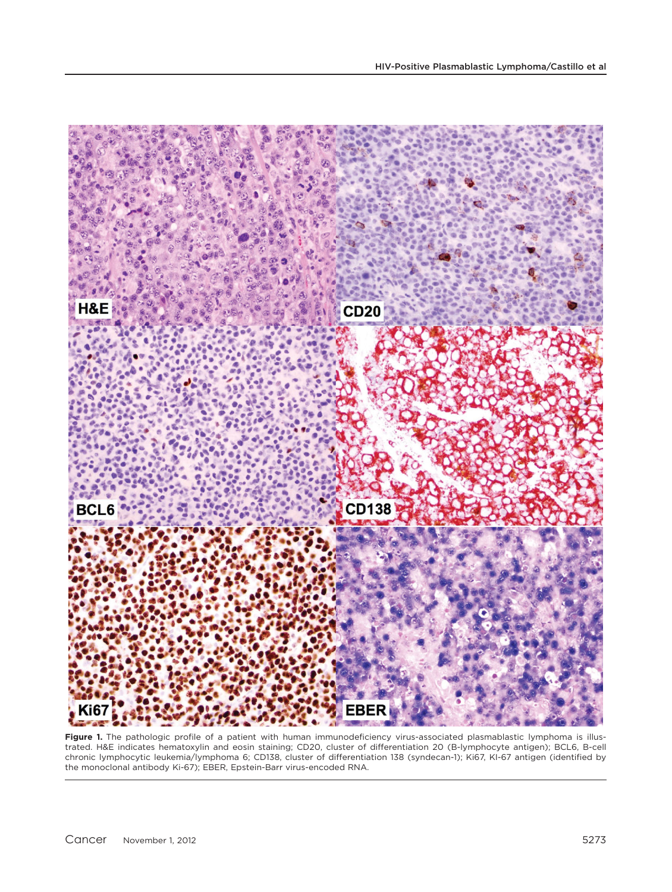

Figure 1. The pathologic profile of a patient with human immunodeficiency virus-associated plasmablastic lymphoma is illustrated. H&E indicates hematoxylin and eosin staining; CD20, cluster of differentiation 20 (B-lymphocyte antigen); BCL6, B-cell chronic lymphocytic leukemia/lymphoma 6; CD138, cluster of differentiation 138 (syndecan-1); Ki67, KI-67 antigen (identified by the monoclonal antibody Ki-67); EBER, Epstein-Barr virus-encoded RNA.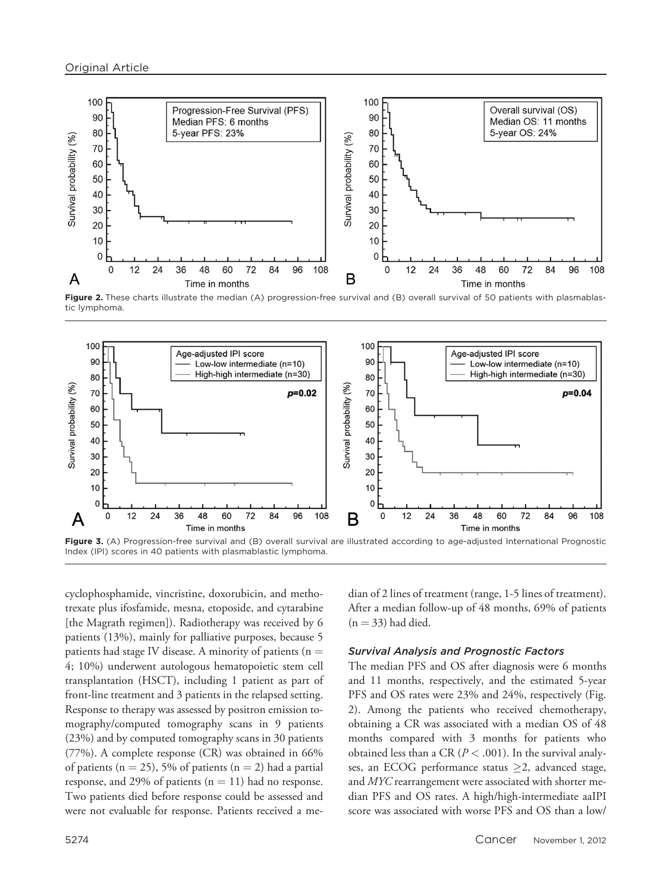

Figure 2. These charts illustrate the median (A) progression-free survival and (B) overall survival of 50 patients with plasmablastic lymphoma.



Figure 3. (A) Progression-free survival and (B) overall survival are illustrated according to age-adjusted International Prognostic Index (IPI) scores in 40 patients with plasmablastic lymphoma.

cyclophosphamide, vincristine, doxorubicin, and methotrexate plus ifosfamide, mesna, etoposide, and cytarabine [the Magrath regimen]). Radiotherapy was received by 6 patients (13%), mainly for palliative purposes, because 5 patients had stage IV disease. A minority of patients ( $n =$ 4; 10%) underwent autologous hematopoietic stem cell transplantation (HSCT), including 1 patient as part of front-line treatment and 3 patients in the relapsed setting. Response to therapy was assessed by positron emission tomography/computed tomography scans in 9 patients (23%) and by computed tomography scans in 30 patients (77%). A complete response (CR) was obtained in 66% of patients ( $n = 25$ ), 5% of patients ( $n = 2$ ) had a partial response, and 29% of patients ( $n = 11$ ) had no response. Two patients died before response could be assessed and were not evaluable for response. Patients received a median of 2 lines of treatment (range, 1-5 lines of treatment). After a median follow-up of 48 months, 69% of patients  $(n = 33)$  had died.

#### Survival Analysis and Prognostic Factors

The median PFS and OS after diagnosis were 6 months and 11 months, respectively, and the estimated 5-year PFS and OS rates were 23% and 24%, respectively (Fig. 2). Among the patients who received chemotherapy, obtaining a CR was associated with a median OS of 48 months compared with 3 months for patients who obtained less than a CR ( $P < .001$ ). In the survival analyses, an ECOG performance status  $\geq$ 2, advanced stage, and MYC rearrangement were associated with shorter median PFS and OS rates. A high/high-intermediate aaIPI score was associated with worse PFS and OS than a low/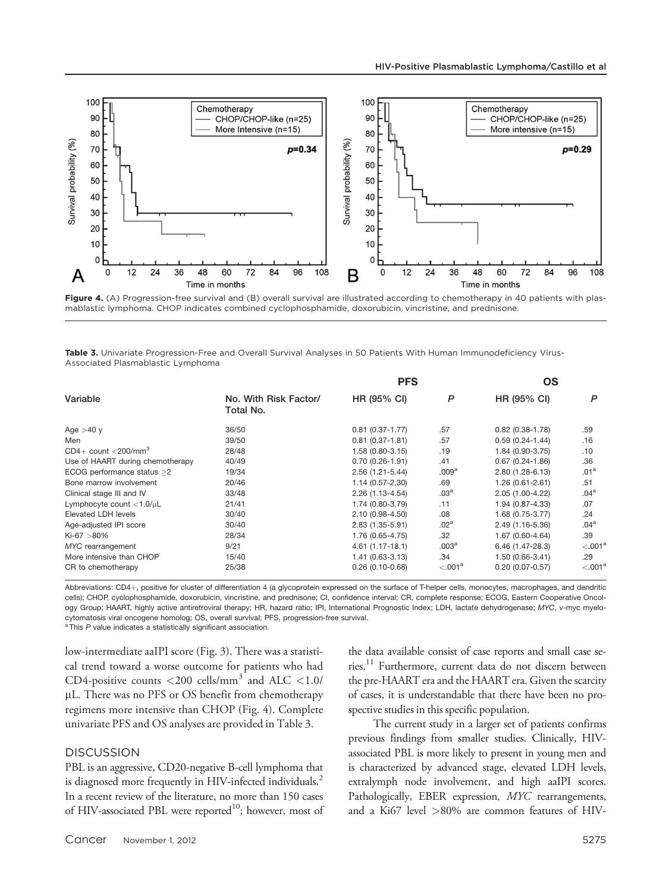

Figure 4. (A) Progression-free survival and (B) overall survival are illustrated according to chemotherapy in 40 patients with plasmablastic lymphoma. CHOP indicates combined cyclophosphamide, doxorubicin, vincristine, and prednisone.

Table 3. Univariate Progression-Free and Overall Survival Analyses in 50 Patients With Human Immunodeficiency Virus-Associated Plasmablastic Lymphoma

| Variable                                | No. With Risk Factor/<br>Total No. | <b>PFS</b>          |                     | OS                  |                     |
|-----------------------------------------|------------------------------------|---------------------|---------------------|---------------------|---------------------|
|                                         |                                    | HR (95% CI)         | P                   | HR (95% CI)         | P                   |
| Age $>40$ y                             | 36/50                              | $0.81$ (0.37-1.77)  | .57                 | $0.82(0.38 - 1.78)$ | .59                 |
| Men                                     | 39/50                              | $0.81(0.37-1.81)$   | .57                 | $0.59(0.24 - 1.44)$ | .16                 |
| $CD4+$ count $\langle 200/mm^3 \rangle$ | 28/48                              | $1.58(0.80-3.15)$   | .19                 | 1.84 (0.90-3.75)    | .10                 |
| Use of HAART during chemotherapy        | 40/49                              | $0.70(0.26 - 1.91)$ | .41                 | $0.67(0.24 - 1.86)$ | .36                 |
| ECOG performance status >2              | 19/34                              | $2.56(1.21 - 5.44)$ | .009 <sup>a</sup>   | $2.80(1.28-6.13)$   | .01 <sup>a</sup>    |
| Bone marrow involvement                 | 20/46                              | 1.14 (0.57-2.30)    | .69                 | $1.26(0.61 - 2.61)$ | .51                 |
| Clinical stage III and IV               | 33/48                              | 2.26 (1.13-4.54)    | .03 <sup>a</sup>    | 2.05 (1.00-4.22)    | .04 <sup>a</sup>    |
| Lymphocyte count $<$ 1.0/ $\mu$ L       | 21/41                              | 1.74 (0.80-3.79)    | .11                 | 1.94 (0.87-4.33)    | .07                 |
| Elevated LDH levels                     | 30/40                              | $2.10(0.98 - 4.50)$ | .08                 | $1.68(0.75-3.77)$   | .24                 |
| Age-adjusted IPI score                  | 30/40                              | 2.83 (1.35-5.91)    | .02 <sup>a</sup>    | 2.49 (1.16-5.36)    | .04 <sup>a</sup>    |
| $Ki-67 > 80\%$                          | 28/34                              | 1.76 (0.65-4.75)    | .32                 | 1.67 (0.60-4.64)    | .39                 |
| MYC rearrangement                       | 9/21                               | 4.61 (1.17-18.1)    | .003 <sup>a</sup>   | $6.46(1.47-28.3)$   | < 0.01 <sup>a</sup> |
| More intensive than CHOP                | 15/40                              | $1.41(0.63-3.13)$   | .34                 | $1.50(0.66-3.41)$   | .29                 |
| CR to chemotherapy                      | 25/38                              | $0.26(0.10-0.68)$   | < 0.01 <sup>a</sup> | $0.20(0.07 - 0.57)$ | < 0.01 <sup>a</sup> |

Abbreviations: CD4+, positive for cluster of differentiation 4 (a glycoprotein expressed on the surface of T-helper cells, monocytes, macrophages, and dendritic cells); CHOP, cyclophosphamide, doxorubicin, vincristine, and prednisone; CI, confidence interval; CR, complete response; ECOG, Eastern Cooperative Oncology Group; HAART, highly active antiretroviral therapy; HR, hazard ratio; IPI, International Prognostic Index; LDH, lactate dehydrogenase; MYC, v-myc myelocytomatosis viral oncogene homolog; OS, overall survival; PFS, progression-free survival.

 $a$  This  $P$  value indicates a statistically significant association.

low-intermediate aaIPI score (Fig. 3). There was a statistical trend toward a worse outcome for patients who had CD4-positive counts  $\langle 200 \text{ cells/mm}^3$  and ALC  $\langle 1.0 \rangle$ lL. There was no PFS or OS benefit from chemotherapy regimens more intensive than CHOP (Fig. 4). Complete univariate PFS and OS analyses are provided in Table 3.

#### **DISCUSSION**

PBL is an aggressive, CD20-negative B-cell lymphoma that is diagnosed more frequently in HIV-infected individuals.<sup>2</sup> In a recent review of the literature, no more than 150 cases of HIV-associated PBL were reported<sup>10</sup>; however, most of the data available consist of case reports and small case series.<sup>11</sup> Furthermore, current data do not discern between the pre-HAART era and the HAART era. Given the scarcity of cases, it is understandable that there have been no prospective studies in this specific population.

The current study in a larger set of patients confirms previous findings from smaller studies. Clinically, HIVassociated PBL is more likely to present in young men and is characterized by advanced stage, elevated LDH levels, extralymph node involvement, and high aaIPI scores. Pathologically, EBER expression, MYC rearrangements, and a Ki67 level >80% are common features of HIV-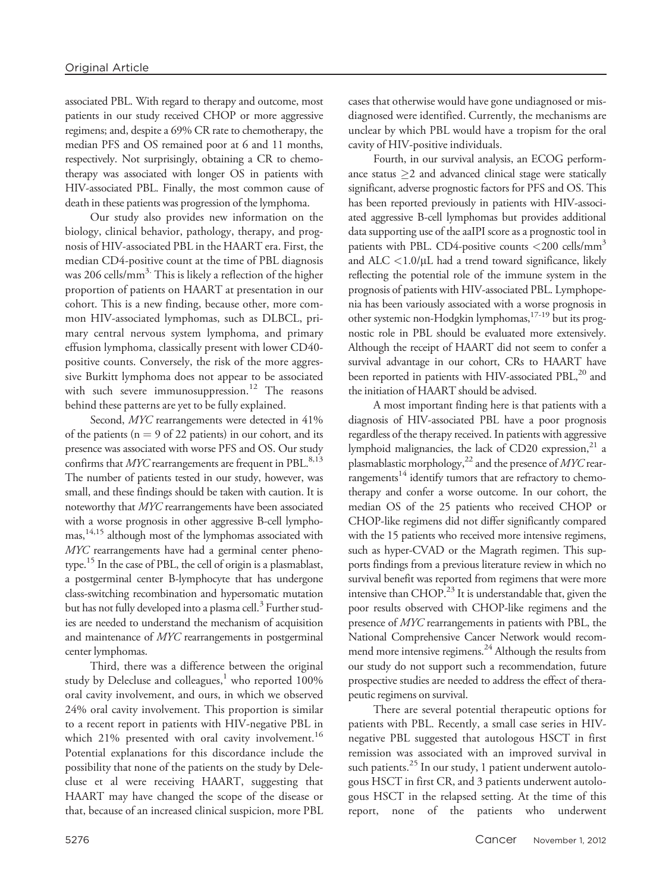associated PBL. With regard to therapy and outcome, most patients in our study received CHOP or more aggressive regimens; and, despite a 69% CR rate to chemotherapy, the median PFS and OS remained poor at 6 and 11 months, respectively. Not surprisingly, obtaining a CR to chemotherapy was associated with longer OS in patients with HIV-associated PBL. Finally, the most common cause of death in these patients was progression of the lymphoma.

Our study also provides new information on the biology, clinical behavior, pathology, therapy, and prognosis of HIV-associated PBL in the HAART era. First, the median CD4-positive count at the time of PBL diagnosis was 206 cells/mm<sup>3.</sup> This is likely a reflection of the higher proportion of patients on HAART at presentation in our cohort. This is a new finding, because other, more common HIV-associated lymphomas, such as DLBCL, primary central nervous system lymphoma, and primary effusion lymphoma, classically present with lower CD40 positive counts. Conversely, the risk of the more aggressive Burkitt lymphoma does not appear to be associated with such severe immunosuppression.<sup>12</sup> The reasons behind these patterns are yet to be fully explained.

Second, MYC rearrangements were detected in 41% of the patients ( $n = 9$  of 22 patients) in our cohort, and its presence was associated with worse PFS and OS. Our study confirms that  $Myc$  rearrangements are frequent in PBL.<sup>8,13</sup> The number of patients tested in our study, however, was small, and these findings should be taken with caution. It is noteworthy that MYC rearrangements have been associated with a worse prognosis in other aggressive B-cell lymphomas,14,15 although most of the lymphomas associated with MYC rearrangements have had a germinal center phenotype.<sup>15</sup> In the case of PBL, the cell of origin is a plasmablast, a postgerminal center B-lymphocyte that has undergone class-switching recombination and hypersomatic mutation but has not fully developed into a plasma cell.<sup>3</sup> Further studies are needed to understand the mechanism of acquisition and maintenance of MYC rearrangements in postgerminal center lymphomas.

Third, there was a difference between the original study by Delecluse and colleagues, $1$  who reported 100% oral cavity involvement, and ours, in which we observed 24% oral cavity involvement. This proportion is similar to a recent report in patients with HIV-negative PBL in which 21% presented with oral cavity involvement.<sup>16</sup> Potential explanations for this discordance include the possibility that none of the patients on the study by Delecluse et al were receiving HAART, suggesting that HAART may have changed the scope of the disease or that, because of an increased clinical suspicion, more PBL cases that otherwise would have gone undiagnosed or misdiagnosed were identified. Currently, the mechanisms are unclear by which PBL would have a tropism for the oral cavity of HIV-positive individuals.

Fourth, in our survival analysis, an ECOG performance status  $\geq 2$  and advanced clinical stage were statically significant, adverse prognostic factors for PFS and OS. This has been reported previously in patients with HIV-associated aggressive B-cell lymphomas but provides additional data supporting use of the aaIPI score as a prognostic tool in patients with PBL. CD4-positive counts  $\langle 200 \text{ cells/mm}^3$ and  $ALC < 1.0/\mu L$  had a trend toward significance, likely reflecting the potential role of the immune system in the prognosis of patients with HIV-associated PBL. Lymphopenia has been variously associated with a worse prognosis in other systemic non-Hodgkin lymphomas,17-19 but its prognostic role in PBL should be evaluated more extensively. Although the receipt of HAART did not seem to confer a survival advantage in our cohort, CRs to HAART have been reported in patients with HIV-associated PBL,<sup>20</sup> and the initiation of HAART should be advised.

A most important finding here is that patients with a diagnosis of HIV-associated PBL have a poor prognosis regardless of the therapy received. In patients with aggressive lymphoid malignancies, the lack of CD20 expression,  $21$  a plasmablastic morphology,<sup>22</sup> and the presence of  $MYC$  rearrangements<sup>14</sup> identify tumors that are refractory to chemotherapy and confer a worse outcome. In our cohort, the median OS of the 25 patients who received CHOP or CHOP-like regimens did not differ significantly compared with the 15 patients who received more intensive regimens, such as hyper-CVAD or the Magrath regimen. This supports findings from a previous literature review in which no survival benefit was reported from regimens that were more intensive than CHOP.<sup>23</sup> It is understandable that, given the poor results observed with CHOP-like regimens and the presence of MYC rearrangements in patients with PBL, the National Comprehensive Cancer Network would recommend more intensive regimens.<sup>24</sup> Although the results from our study do not support such a recommendation, future prospective studies are needed to address the effect of therapeutic regimens on survival.

There are several potential therapeutic options for patients with PBL. Recently, a small case series in HIVnegative PBL suggested that autologous HSCT in first remission was associated with an improved survival in such patients.<sup>25</sup> In our study, 1 patient underwent autologous HSCT in first CR, and 3 patients underwent autologous HSCT in the relapsed setting. At the time of this report, none of the patients who underwent